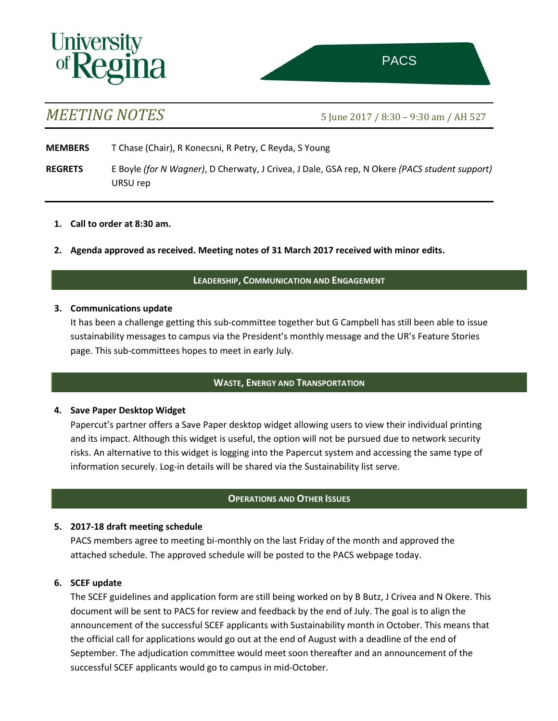

# *MEETING NOTES* 5 June <sup>2017</sup> / 8:30 – 9:30 am / AH 527

- **MEMBERS** T Chase (Chair), R Konecsni, R Petry, C Reyda, S Young
- **REGRETS** E Boyle *(for N Wagner)*, D Cherwaty, J Crivea, J Dale, GSA rep, N Okere *(PACS student support)* URSU rep
	- **1. Call to order at 8:30 am.**
	- **2. Agenda approved as received. Meeting notes of 31 March 2017 received with minor edits.**

### **LEADERSHIP, COMMUNICATION AND ENGAGEMENT**

#### **3. Communications update**

It has been a challenge getting this sub-committee together but G Campbell has still been able to issue sustainability messages to campus via the President's monthly message and the UR's Feature Stories page. This sub-committees hopes to meet in early July.

## **WASTE, ENERGY AND TRANSPORTATION**

#### **4. Save Paper Desktop Widget**

Papercut's partner offers a Save Paper desktop widget allowing users to view their individual printing and its impact. Although this widget is useful, the option will not be pursued due to network security risks. An alternative to this widget is logging into the Papercut system and accessing the same type of information securely. Log-in details will be shared via the Sustainability list serve.

## **OPERATIONS AND OTHER ISSUES**

#### **5. 2017-18 draft meeting schedule**

PACS members agree to meeting bi-monthly on the last Friday of the month and approved the attached schedule. The approved schedule will be posted to the PACS webpage today.

## **6. SCEF update**

The SCEF guidelines and application form are still being worked on by B Butz, J Crivea and N Okere. This document will be sent to PACS for review and feedback by the end of July. The goal is to align the announcement of the successful SCEF applicants with Sustainability month in October. This means that the official call for applications would go out at the end of August with a deadline of the end of September. The adjudication committee would meet soon thereafter and an announcement of the successful SCEF applicants would go to campus in mid-October.